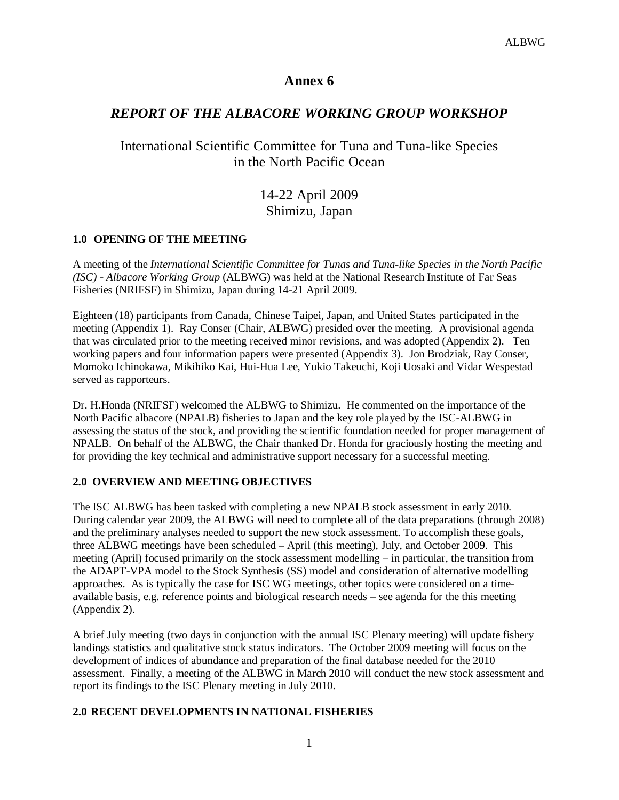## **Annex 6**

# *REPORT OF THE ALBACORE WORKING GROUP WORKSHOP*

# International Scientific Committee for Tuna and Tuna-like Species in the North Pacific Ocean

# 14-22 April 2009 Shimizu, Japan

### **1.0 OPENING OF THE MEETING**

A meeting of the *International Scientific Committee for Tunas and Tuna-like Species in the North Pacific (ISC) - Albacore Working Group* (ALBWG) was held at the National Research Institute of Far Seas Fisheries (NRIFSF) in Shimizu, Japan during 14-21 April 2009.

Eighteen (18) participants from Canada, Chinese Taipei, Japan, and United States participated in the meeting (Appendix 1). Ray Conser (Chair, ALBWG) presided over the meeting. A provisional agenda that was circulated prior to the meeting received minor revisions, and was adopted (Appendix 2). Ten working papers and four information papers were presented (Appendix 3). Jon Brodziak, Ray Conser, Momoko Ichinokawa, Mikihiko Kai, Hui-Hua Lee, Yukio Takeuchi, Koji Uosaki and Vidar Wespestad served as rapporteurs.

Dr. H.Honda (NRIFSF) welcomed the ALBWG to Shimizu. He commented on the importance of the North Pacific albacore (NPALB) fisheries to Japan and the key role played by the ISC-ALBWG in assessing the status of the stock, and providing the scientific foundation needed for proper management of NPALB. On behalf of the ALBWG, the Chair thanked Dr. Honda for graciously hosting the meeting and for providing the key technical and administrative support necessary for a successful meeting.

### **2.0 OVERVIEW AND MEETING OBJECTIVES**

The ISC ALBWG has been tasked with completing a new NPALB stock assessment in early 2010. During calendar year 2009, the ALBWG will need to complete all of the data preparations (through 2008) and the preliminary analyses needed to support the new stock assessment. To accomplish these goals, three ALBWG meetings have been scheduled – April (this meeting), July, and October 2009. This meeting (April) focused primarily on the stock assessment modelling – in particular, the transition from the ADAPT-VPA model to the Stock Synthesis (SS) model and consideration of alternative modelling approaches. As is typically the case for ISC WG meetings, other topics were considered on a timeavailable basis, e.g. reference points and biological research needs – see agenda for the this meeting (Appendix 2).

A brief July meeting (two days in conjunction with the annual ISC Plenary meeting) will update fishery landings statistics and qualitative stock status indicators. The October 2009 meeting will focus on the development of indices of abundance and preparation of the final database needed for the 2010 assessment. Finally, a meeting of the ALBWG in March 2010 will conduct the new stock assessment and report its findings to the ISC Plenary meeting in July 2010.

### **2.0 RECENT DEVELOPMENTS IN NATIONAL FISHERIES**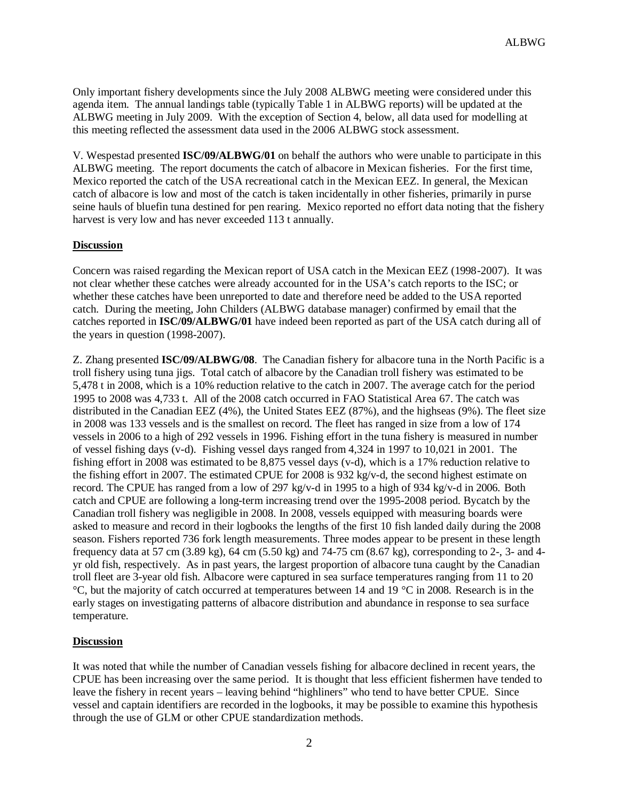Only important fishery developments since the July 2008 ALBWG meeting were considered under this agenda item. The annual landings table (typically Table 1 in ALBWG reports) will be updated at the ALBWG meeting in July 2009. With the exception of Section 4, below, all data used for modelling at this meeting reflected the assessment data used in the 2006 ALBWG stock assessment.

V. Wespestad presented **ISC/09/ALBWG/01** on behalf the authors who were unable to participate in this ALBWG meeting. The report documents the catch of albacore in Mexican fisheries. For the first time, Mexico reported the catch of the USA recreational catch in the Mexican EEZ. In general, the Mexican catch of albacore is low and most of the catch is taken incidentally in other fisheries, primarily in purse seine hauls of bluefin tuna destined for pen rearing. Mexico reported no effort data noting that the fishery harvest is very low and has never exceeded 113 t annually.

#### **Discussion**

Concern was raised regarding the Mexican report of USA catch in the Mexican EEZ (1998-2007). It was not clear whether these catches were already accounted for in the USA's catch reports to the ISC; or whether these catches have been unreported to date and therefore need be added to the USA reported catch. During the meeting, John Childers (ALBWG database manager) confirmed by email that the catches reported in **ISC/09/ALBWG/01** have indeed been reported as part of the USA catch during all of the years in question (1998-2007).

Z. Zhang presented **ISC/09/ALBWG/08**. The Canadian fishery for albacore tuna in the North Pacific is a troll fishery using tuna jigs. Total catch of albacore by the Canadian troll fishery was estimated to be 5,478 t in 2008, which is a 10% reduction relative to the catch in 2007. The average catch for the period 1995 to 2008 was 4,733 t. All of the 2008 catch occurred in FAO Statistical Area 67. The catch was distributed in the Canadian EEZ (4%), the United States EEZ (87%), and the highseas (9%). The fleet size in 2008 was 133 vessels and is the smallest on record. The fleet has ranged in size from a low of 174 vessels in 2006 to a high of 292 vessels in 1996. Fishing effort in the tuna fishery is measured in number of vessel fishing days (v-d). Fishing vessel days ranged from 4,324 in 1997 to 10,021 in 2001. The fishing effort in 2008 was estimated to be 8,875 vessel days (v-d), which is a 17% reduction relative to the fishing effort in 2007. The estimated CPUE for 2008 is 932 kg/v-d, the second highest estimate on record. The CPUE has ranged from a low of 297 kg/v-d in 1995 to a high of 934 kg/v-d in 2006. Both catch and CPUE are following a long-term increasing trend over the 1995-2008 period. Bycatch by the Canadian troll fishery was negligible in 2008. In 2008, vessels equipped with measuring boards were asked to measure and record in their logbooks the lengths of the first 10 fish landed daily during the 2008 season. Fishers reported 736 fork length measurements. Three modes appear to be present in these length frequency data at 57 cm (3.89 kg), 64 cm (5.50 kg) and 74-75 cm (8.67 kg), corresponding to 2-, 3- and 4 yr old fish, respectively. As in past years, the largest proportion of albacore tuna caught by the Canadian troll fleet are 3-year old fish. Albacore were captured in sea surface temperatures ranging from 11 to 20  $\degree$ C, but the majority of catch occurred at temperatures between 14 and 19  $\degree$ C in 2008. Research is in the early stages on investigating patterns of albacore distribution and abundance in response to sea surface temperature.

### **Discussion**

It was noted that while the number of Canadian vessels fishing for albacore declined in recent years, the CPUE has been increasing over the same period. It is thought that less efficient fishermen have tended to leave the fishery in recent years – leaving behind "highliners" who tend to have better CPUE. Since vessel and captain identifiers are recorded in the logbooks, it may be possible to examine this hypothesis through the use of GLM or other CPUE standardization methods.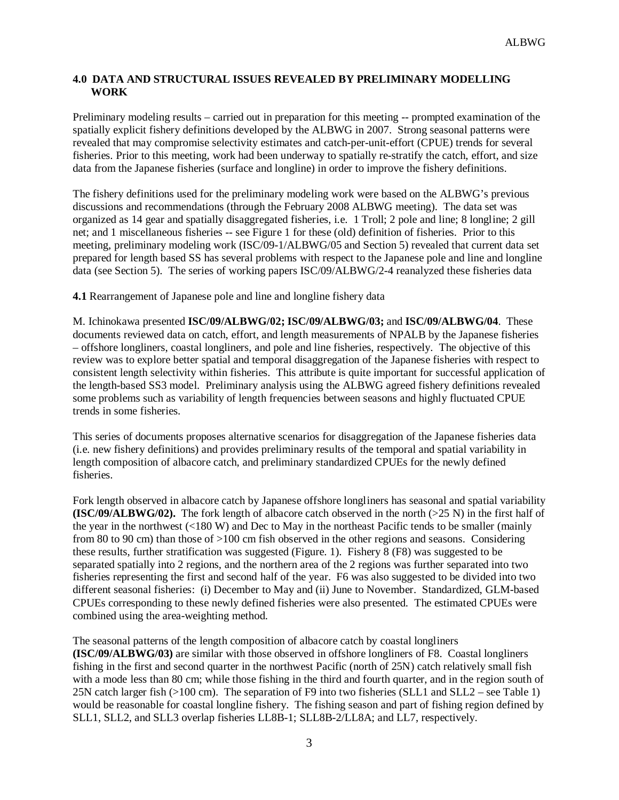### **4.0 DATA AND STRUCTURAL ISSUES REVEALED BY PRELIMINARY MODELLING WORK**

Preliminary modeling results – carried out in preparation for this meeting -- prompted examination of the spatially explicit fishery definitions developed by the ALBWG in 2007. Strong seasonal patterns were revealed that may compromise selectivity estimates and catch-per-unit-effort (CPUE) trends for several fisheries. Prior to this meeting, work had been underway to spatially re-stratify the catch, effort, and size data from the Japanese fisheries (surface and longline) in order to improve the fishery definitions.

The fishery definitions used for the preliminary modeling work were based on the ALBWG's previous discussions and recommendations (through the February 2008 ALBWG meeting). The data set was organized as 14 gear and spatially disaggregated fisheries, i.e. 1 Troll; 2 pole and line; 8 longline; 2 gill net; and 1 miscellaneous fisheries -- see Figure 1 for these (old) definition of fisheries. Prior to this meeting, preliminary modeling work (ISC/09-1/ALBWG/05 and Section 5) revealed that current data set prepared for length based SS has several problems with respect to the Japanese pole and line and longline data (see Section 5). The series of working papers ISC/09/ALBWG/2-4 reanalyzed these fisheries data

**4.1** Rearrangement of Japanese pole and line and longline fishery data

M. Ichinokawa presented **ISC/09/ALBWG/02; ISC/09/ALBWG/03;** and **ISC/09/ALBWG/04**. These documents reviewed data on catch, effort, and length measurements of NPALB by the Japanese fisheries – offshore longliners, coastal longliners, and pole and line fisheries, respectively. The objective of this review was to explore better spatial and temporal disaggregation of the Japanese fisheries with respect to consistent length selectivity within fisheries. This attribute is quite important for successful application of the length-based SS3 model. Preliminary analysis using the ALBWG agreed fishery definitions revealed some problems such as variability of length frequencies between seasons and highly fluctuated CPUE trends in some fisheries.

This series of documents proposes alternative scenarios for disaggregation of the Japanese fisheries data (i.e. new fishery definitions) and provides preliminary results of the temporal and spatial variability in length composition of albacore catch, and preliminary standardized CPUEs for the newly defined fisheries.

Fork length observed in albacore catch by Japanese offshore longliners has seasonal and spatial variability **(ISC/09/ALBWG/02).** The fork length of albacore catch observed in the north (>25 N) in the first half of the year in the northwest (<180 W) and Dec to May in the northeast Pacific tends to be smaller (mainly from 80 to 90 cm) than those of >100 cm fish observed in the other regions and seasons. Considering these results, further stratification was suggested (Figure. 1). Fishery 8 (F8) was suggested to be separated spatially into 2 regions, and the northern area of the 2 regions was further separated into two fisheries representing the first and second half of the year. F6 was also suggested to be divided into two different seasonal fisheries: (i) December to May and (ii) June to November. Standardized, GLM-based CPUEs corresponding to these newly defined fisheries were also presented. The estimated CPUEs were combined using the area-weighting method.

The seasonal patterns of the length composition of albacore catch by coastal longliners **(ISC/09/ALBWG/03)** are similar with those observed in offshore longliners of F8. Coastal longliners fishing in the first and second quarter in the northwest Pacific (north of 25N) catch relatively small fish with a mode less than 80 cm; while those fishing in the third and fourth quarter, and in the region south of 25N catch larger fish (>100 cm). The separation of F9 into two fisheries (SLL1 and SLL2 – see Table 1) would be reasonable for coastal longline fishery. The fishing season and part of fishing region defined by SLL1, SLL2, and SLL3 overlap fisheries LL8B-1; SLL8B-2/LL8A; and LL7, respectively.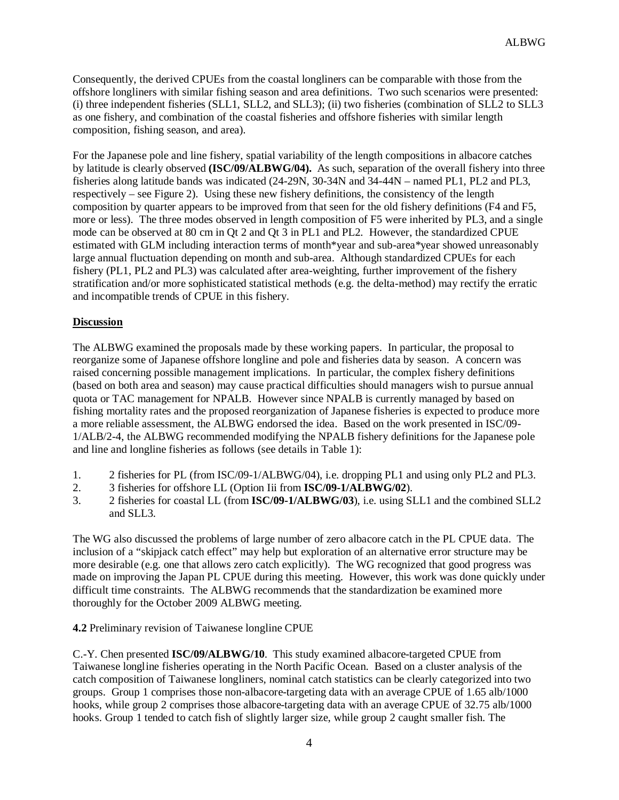Consequently, the derived CPUEs from the coastal longliners can be comparable with those from the offshore longliners with similar fishing season and area definitions. Two such scenarios were presented: (i) three independent fisheries (SLL1, SLL2, and SLL3); (ii) two fisheries (combination of SLL2 to SLL3 as one fishery, and combination of the coastal fisheries and offshore fisheries with similar length composition, fishing season, and area).

For the Japanese pole and line fishery, spatial variability of the length compositions in albacore catches by latitude is clearly observed **(ISC/09/ALBWG/04).** As such, separation of the overall fishery into three fisheries along latitude bands was indicated (24-29N, 30-34N and 34-44N – named PL1, PL2 and PL3, respectively – see Figure 2). Using these new fishery definitions, the consistency of the length composition by quarter appears to be improved from that seen for the old fishery definitions (F4 and F5, more or less). The three modes observed in length composition of F5 were inherited by PL3, and a single mode can be observed at 80 cm in Qt 2 and Qt 3 in PL1 and PL2. However, the standardized CPUE estimated with GLM including interaction terms of month\*year and sub-area\*year showed unreasonably large annual fluctuation depending on month and sub-area. Although standardized CPUEs for each fishery (PL1, PL2 and PL3) was calculated after area-weighting, further improvement of the fishery stratification and/or more sophisticated statistical methods (e.g. the delta-method) may rectify the erratic and incompatible trends of CPUE in this fishery.

### **Discussion**

The ALBWG examined the proposals made by these working papers. In particular, the proposal to reorganize some of Japanese offshore longline and pole and fisheries data by season. A concern was raised concerning possible management implications. In particular, the complex fishery definitions (based on both area and season) may cause practical difficulties should managers wish to pursue annual quota or TAC management for NPALB. However since NPALB is currently managed by based on fishing mortality rates and the proposed reorganization of Japanese fisheries is expected to produce more a more reliable assessment, the ALBWG endorsed the idea. Based on the work presented in ISC/09- 1/ALB/2-4, the ALBWG recommended modifying the NPALB fishery definitions for the Japanese pole and line and longline fisheries as follows (see details in Table 1):

- 1. 2 fisheries for PL (from ISC/09-1/ALBWG/04), i.e. dropping PL1 and using only PL2 and PL3.
- 2. 3 fisheries for offshore LL (Option Iii from **ISC/09-1/ALBWG/02**).
- 3. 2 fisheries for coastal LL (from **ISC/09-1/ALBWG/03**), i.e. using SLL1 and the combined SLL2 and SLL3.

The WG also discussed the problems of large number of zero albacore catch in the PL CPUE data. The inclusion of a "skipjack catch effect" may help but exploration of an alternative error structure may be more desirable (e.g. one that allows zero catch explicitly). The WG recognized that good progress was made on improving the Japan PL CPUE during this meeting. However, this work was done quickly under difficult time constraints. The ALBWG recommends that the standardization be examined more thoroughly for the October 2009 ALBWG meeting.

### **4.2** Preliminary revision of Taiwanese longline CPUE

C.-Y. Chen presented **ISC/09/ALBWG/10**. This study examined albacore-targeted CPUE from Taiwanese longline fisheries operating in the North Pacific Ocean. Based on a cluster analysis of the catch composition of Taiwanese longliners, nominal catch statistics can be clearly categorized into two groups. Group 1 comprises those non-albacore-targeting data with an average CPUE of 1.65 alb/1000 hooks, while group 2 comprises those albacore-targeting data with an average CPUE of 32.75 alb/1000 hooks. Group 1 tended to catch fish of slightly larger size, while group 2 caught smaller fish. The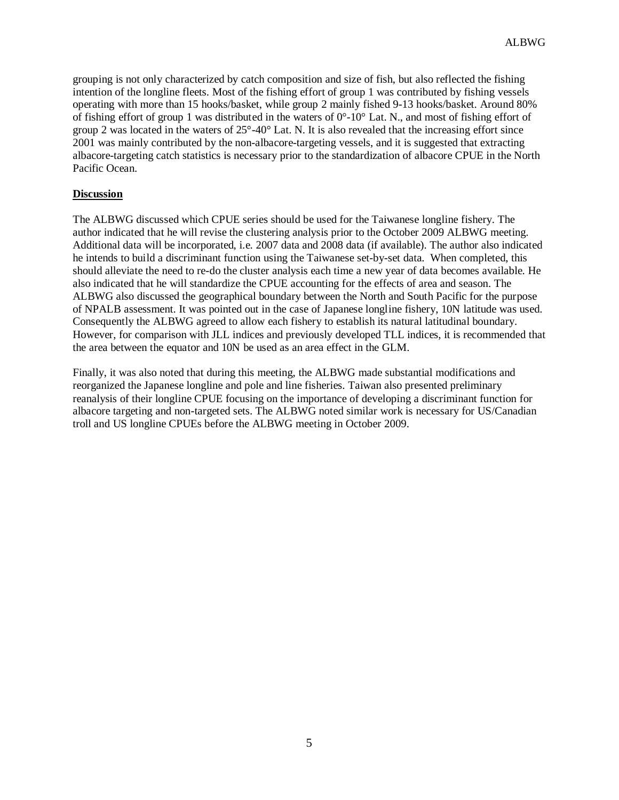grouping is not only characterized by catch composition and size of fish, but also reflected the fishing intention of the longline fleets. Most of the fishing effort of group 1 was contributed by fishing vessels operating with more than 15 hooks/basket, while group 2 mainly fished 9-13 hooks/basket. Around 80% of fishing effort of group 1 was distributed in the waters of  $0^{\circ}$ -10° Lat. N., and most of fishing effort of group 2 was located in the waters of  $25^{\circ}$ -40° Lat. N. It is also revealed that the increasing effort since 2001 was mainly contributed by the non-albacore-targeting vessels, and it is suggested that extracting albacore-targeting catch statistics is necessary prior to the standardization of albacore CPUE in the North Pacific Ocean.

### **Discussion**

The ALBWG discussed which CPUE series should be used for the Taiwanese longline fishery. The author indicated that he will revise the clustering analysis prior to the October 2009 ALBWG meeting. Additional data will be incorporated, i.e. 2007 data and 2008 data (if available). The author also indicated he intends to build a discriminant function using the Taiwanese set-by-set data. When completed, this should alleviate the need to re-do the cluster analysis each time a new year of data becomes available. He also indicated that he will standardize the CPUE accounting for the effects of area and season. The ALBWG also discussed the geographical boundary between the North and South Pacific for the purpose of NPALB assessment. It was pointed out in the case of Japanese longline fishery, 10N latitude was used. Consequently the ALBWG agreed to allow each fishery to establish its natural latitudinal boundary. However, for comparison with JLL indices and previously developed TLL indices, it is recommended that the area between the equator and 10N be used as an area effect in the GLM.

Finally, it was also noted that during this meeting, the ALBWG made substantial modifications and reorganized the Japanese longline and pole and line fisheries. Taiwan also presented preliminary reanalysis of their longline CPUE focusing on the importance of developing a discriminant function for albacore targeting and non-targeted sets. The ALBWG noted similar work is necessary for US/Canadian troll and US longline CPUEs before the ALBWG meeting in October 2009.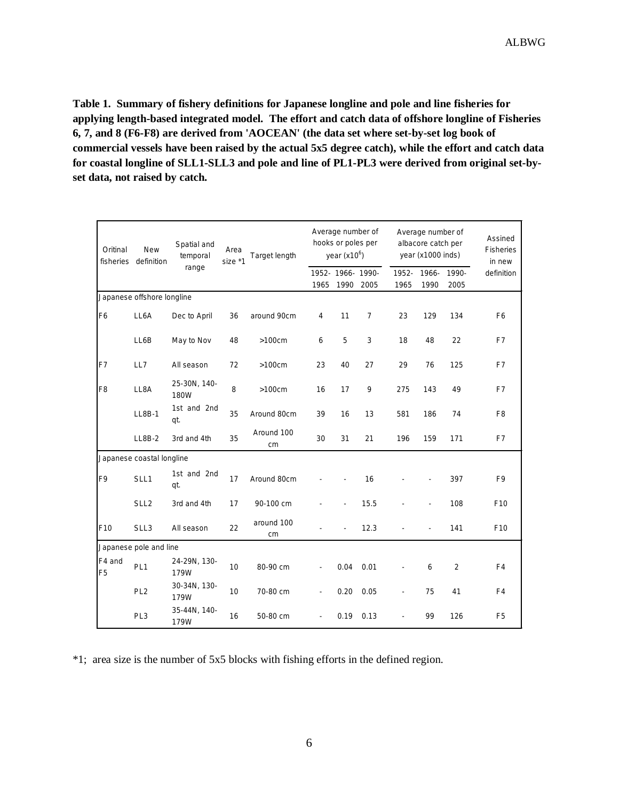**Table 1. Summary of fishery definitions for Japanese longline and pole and line fisheries for applying length-based integrated model. The effort and catch data of offshore longline of Fisheries 6, 7, and 8 (F6-F8) are derived from 'AOCEAN' (the data set where set-by-set log book of commercial vessels have been raised by the actual 5x5 degree catch), while the effort and catch data for coastal longline of SLL1-SLL3 and pole and line of PL1-PL3 were derived from original set-byset data, not raised by catch.** 

| Oritinal                  | <b>New</b><br>fisheries definition | Spatial and<br>temporal<br>range | Area<br>size *1 | Target length    | Average number of<br>hooks or poles per<br>year $(x10^6)$ |                   |                | Average number of<br>albacore catch per<br>year (x1000 inds) |                          |                | Assined<br><b>Fisheries</b><br>in new |
|---------------------------|------------------------------------|----------------------------------|-----------------|------------------|-----------------------------------------------------------|-------------------|----------------|--------------------------------------------------------------|--------------------------|----------------|---------------------------------------|
|                           |                                    |                                  |                 |                  | 1965                                                      | 1952- 1966- 1990- | 1990 2005      | 1952-<br>1965                                                | 1966-<br>1990            | 1990-<br>2005  | definition                            |
|                           | Japanese offshore longline         |                                  |                 |                  |                                                           |                   |                |                                                              |                          |                |                                       |
| F6                        | LL6A                               | Dec to April                     | 36              | around 90cm      | 4                                                         | 11                | $\overline{7}$ | 23                                                           | 129                      | 134            | F <sub>6</sub>                        |
|                           | LL6B                               | May to Nov                       | 48              | $>100cm$         | 6                                                         | 5                 | 3              | 18                                                           | 48                       | 22             | F7                                    |
| F7                        | LL7                                | All season                       | 72              | $>100cm$         | 23                                                        | 40                | 27             | 29                                                           | 76                       | 125            | F7                                    |
| F <sub>8</sub>            | LL8A                               | 25-30N, 140-<br>180W             | 8               | $>100cm$         | 16                                                        | 17                | 9              | 275                                                          | 143                      | 49             | F7                                    |
|                           | LL8B-1                             | 1st and 2nd<br>qt.               | 35              | Around 80cm      | 39                                                        | 16                | 13             | 581                                                          | 186                      | 74             | F <sub>8</sub>                        |
|                           | <b>LL8B-2</b>                      | 3rd and 4th                      | 35              | Around 100<br>cm | 30                                                        | 31                | 21             | 196                                                          | 159                      | 171            | F7                                    |
| Japanese coastal longline |                                    |                                  |                 |                  |                                                           |                   |                |                                                              |                          |                |                                       |
| F9                        | SLL1                               | 1st and 2nd<br>qt.               | 17              | Around 80cm      |                                                           |                   | 16             |                                                              |                          | 397            | F9                                    |
|                           | SLL <sub>2</sub>                   | 3rd and 4th                      | 17              | 90-100 cm        |                                                           |                   | 15.5           |                                                              | $\blacksquare$           | 108            | F10                                   |
| F10                       | SLL3                               | All season                       | 22              | around 100<br>cm |                                                           |                   | 12.3           |                                                              | $\overline{\phantom{a}}$ | 141            | F <sub>10</sub>                       |
|                           | Japanese pole and line             |                                  |                 |                  |                                                           |                   |                |                                                              |                          |                |                                       |
| F4 and<br>F <sub>5</sub>  | PL <sub>1</sub>                    | 24-29N, 130-<br>179W             | 10              | 80-90 cm         |                                                           | 0.04              | 0.01           |                                                              | 6                        | $\overline{2}$ | F <sub>4</sub>                        |
|                           | PL <sub>2</sub>                    | 30-34N, 130-<br>179W             | 10              | 70-80 cm         | ä,                                                        | 0.20              | 0.05           | $\overline{\phantom{0}}$                                     | 75                       | 41             | F <sub>4</sub>                        |
|                           | PL <sub>3</sub>                    | 35-44N, 140-<br>179W             | 16              | 50-80 cm         |                                                           | 0.19              | 0.13           |                                                              | 99                       | 126            | F <sub>5</sub>                        |

\*1; area size is the number of 5x5 blocks with fishing efforts in the defined region.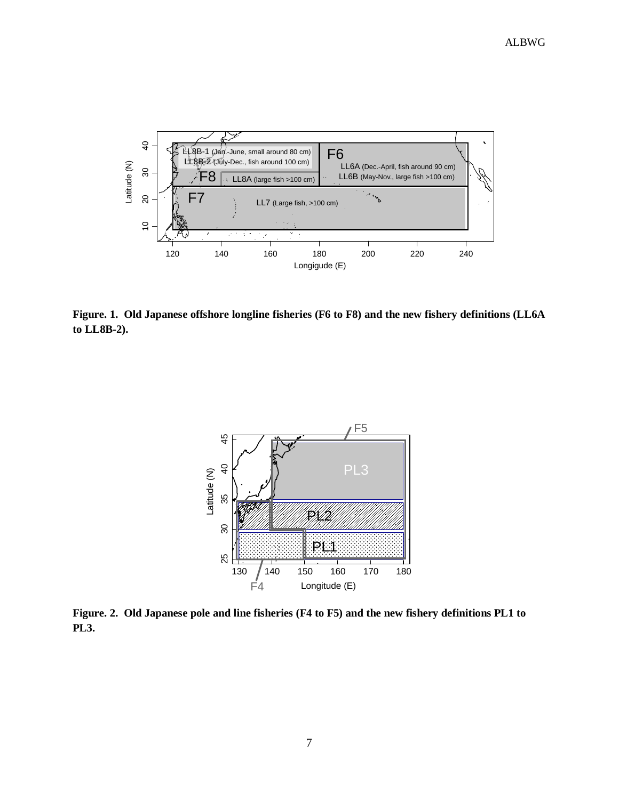

**Figure. 1. Old Japanese offshore longline fisheries (F6 to F8) and the new fishery definitions (LL6A to LL8B-2).** 



**Figure. 2. Old Japanese pole and line fisheries (F4 to F5) and the new fishery definitions PL1 to PL3.**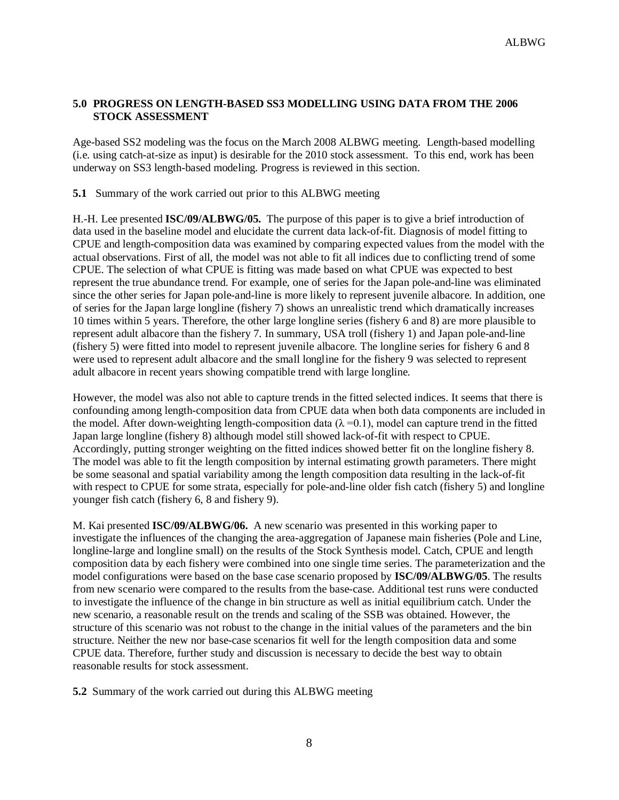### **5.0 PROGRESS ON LENGTH-BASED SS3 MODELLING USING DATA FROM THE 2006 STOCK ASSESSMENT**

Age-based SS2 modeling was the focus on the March 2008 ALBWG meeting. Length-based modelling (i.e. using catch-at-size as input) is desirable for the 2010 stock assessment. To this end, work has been underway on SS3 length-based modeling. Progress is reviewed in this section.

**5.1** Summary of the work carried out prior to this ALBWG meeting

H.-H. Lee presented **ISC/09/ALBWG/05.** The purpose of this paper is to give a brief introduction of data used in the baseline model and elucidate the current data lack-of-fit. Diagnosis of model fitting to CPUE and length-composition data was examined by comparing expected values from the model with the actual observations. First of all, the model was not able to fit all indices due to conflicting trend of some CPUE. The selection of what CPUE is fitting was made based on what CPUE was expected to best represent the true abundance trend. For example, one of series for the Japan pole-and-line was eliminated since the other series for Japan pole-and-line is more likely to represent juvenile albacore. In addition, one of series for the Japan large longline (fishery 7) shows an unrealistic trend which dramatically increases 10 times within 5 years. Therefore, the other large longline series (fishery 6 and 8) are more plausible to represent adult albacore than the fishery 7. In summary, USA troll (fishery 1) and Japan pole-and-line (fishery 5) were fitted into model to represent juvenile albacore. The longline series for fishery 6 and 8 were used to represent adult albacore and the small longline for the fishery 9 was selected to represent adult albacore in recent years showing compatible trend with large longline.

However, the model was also not able to capture trends in the fitted selected indices. It seems that there is confounding among length-composition data from CPUE data when both data components are included in the model. After down-weighting length-composition data ( $\lambda = 0.1$ ), model can capture trend in the fitted Japan large longline (fishery 8) although model still showed lack-of-fit with respect to CPUE. Accordingly, putting stronger weighting on the fitted indices showed better fit on the longline fishery 8. The model was able to fit the length composition by internal estimating growth parameters. There might be some seasonal and spatial variability among the length composition data resulting in the lack-of-fit with respect to CPUE for some strata, especially for pole-and-line older fish catch (fishery 5) and longline younger fish catch (fishery 6, 8 and fishery 9).

M. Kai presented **ISC/09/ALBWG/06.** A new scenario was presented in this working paper to investigate the influences of the changing the area-aggregation of Japanese main fisheries (Pole and Line, longline-large and longline small) on the results of the Stock Synthesis model. Catch, CPUE and length composition data by each fishery were combined into one single time series. The parameterization and the model configurations were based on the base case scenario proposed by **ISC/09/ALBWG/05**. The results from new scenario were compared to the results from the base-case. Additional test runs were conducted to investigate the influence of the change in bin structure as well as initial equilibrium catch. Under the new scenario, a reasonable result on the trends and scaling of the SSB was obtained. However, the structure of this scenario was not robust to the change in the initial values of the parameters and the bin structure. Neither the new nor base-case scenarios fit well for the length composition data and some CPUE data. Therefore, further study and discussion is necessary to decide the best way to obtain reasonable results for stock assessment.

**5.2** Summary of the work carried out during this ALBWG meeting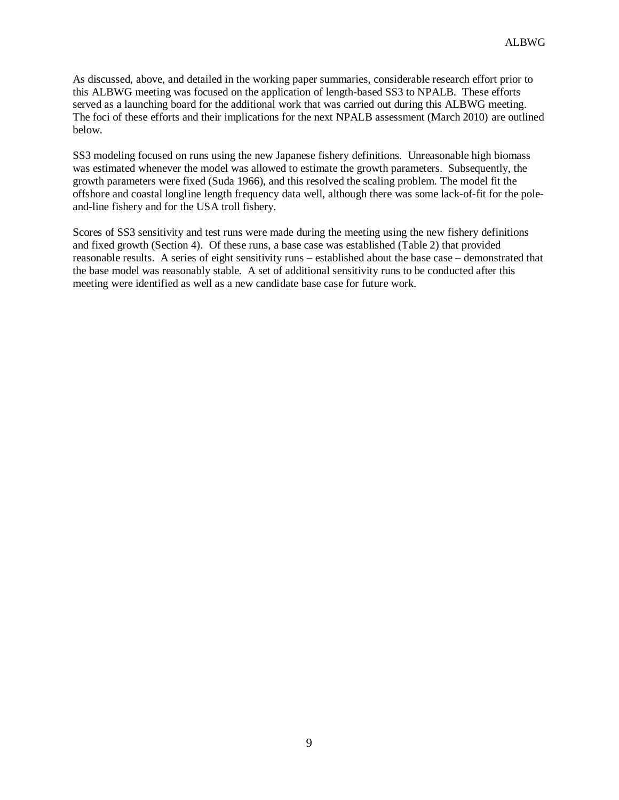As discussed, above, and detailed in the working paper summaries, considerable research effort prior to this ALBWG meeting was focused on the application of length-based SS3 to NPALB. These efforts served as a launching board for the additional work that was carried out during this ALBWG meeting. The foci of these efforts and their implications for the next NPALB assessment (March 2010) are outlined below.

SS3 modeling focused on runs using the new Japanese fishery definitions. Unreasonable high biomass was estimated whenever the model was allowed to estimate the growth parameters. Subsequently, the growth parameters were fixed (Suda 1966), and this resolved the scaling problem. The model fit the offshore and coastal longline length frequency data well, although there was some lack-of-fit for the poleand-line fishery and for the USA troll fishery.

Scores of SS3 sensitivity and test runs were made during the meeting using the new fishery definitions and fixed growth (Section 4). Of these runs, a base case was established (Table 2) that provided reasonable results. A series of eight sensitivity runs **–** established about the base case **–** demonstrated that the base model was reasonably stable. A set of additional sensitivity runs to be conducted after this meeting were identified as well as a new candidate base case for future work.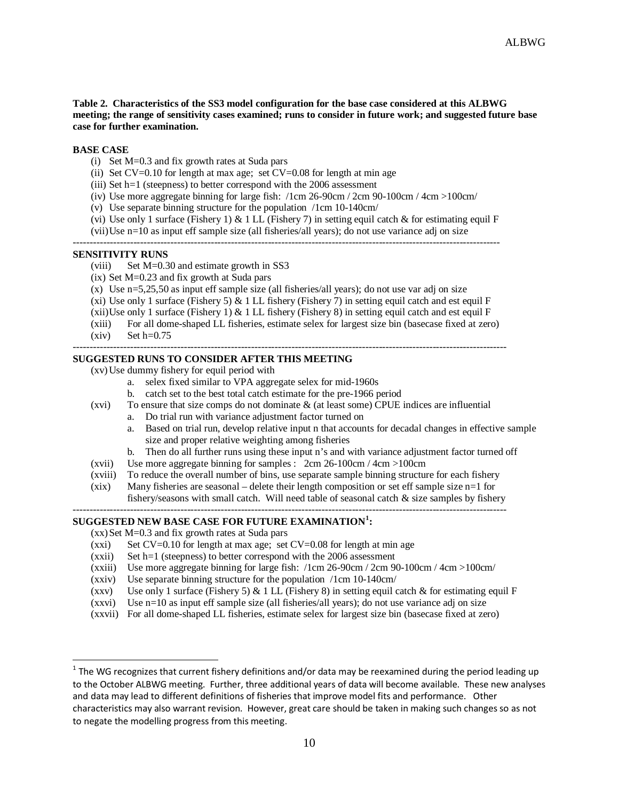**Table 2. Characteristics of the SS3 model configuration for the base case considered at this ALBWG meeting; the range of sensitivity cases examined; runs to consider in future work; and suggested future base case for further examination.** 

#### **BASE CASE**

- (i) Set M=0.3 and fix growth rates at Suda pars
- (ii) Set  $CV=0.10$  for length at max age; set  $CV=0.08$  for length at min age
- (iii) Set h=1 (steepness) to better correspond with the 2006 assessment
- (iv) Use more aggregate binning for large fish: /1cm 26-90cm / 2cm 90-100cm / 4cm > 100cm/
- (v) Use separate binning structure for the population /1cm 10-140cm/
- (vi) Use only 1 surface (Fishery 1)  $\&$  1 LL (Fishery 7) in setting equil catch  $\&$  for estimating equil F

(vii)Use n=10 as input eff sample size (all fisheries/all years); do not use variance adj on size

#### **SENSITIVITY RUNS**

- (viii) Set M=0.30 and estimate growth in SS3
- (ix) Set M=0.23 and fix growth at Suda pars
- (x) Use n=5,25,50 as input eff sample size (all fisheries/all years); do not use var adj on size
- (xi) Use only 1 surface (Fishery 5)  $\&$  1 LL fishery (Fishery 7) in setting equil catch and est equil F
- (xii)Use only 1 surface (Fishery 1)  $& 1$  LL fishery (Fishery 8) in setting equil catch and est equil F
- (xiii) For all dome-shaped LL fisheries, estimate selex for largest size bin (basecase fixed at zero)
- $(xiv)$  Set  $h=0.75$

l

#### **SUGGESTED RUNS TO CONSIDER AFTER THIS MEETING**

(xv)Use dummy fishery for equil period with

- a. selex fixed similar to VPA aggregate selex for mid-1960s
- b. catch set to the best total catch estimate for the pre-1966 period
- (xvi) To ensure that size comps do not dominate & (at least some) CPUE indices are influential
	- a. Do trial run with variance adjustment factor turned on
	- a. Based on trial run, develop relative input n that accounts for decadal changes in effective sample size and proper relative weighting among fisheries

---------------------------------------------------------------------------------------------------------------------------------

- b. Then do all further runs using these input n's and with variance adjustment factor turned off
- (xvii) Use more aggregate binning for samples : 2cm 26-100cm / 4cm >100cm
- (xviii) To reduce the overall number of bins, use separate sample binning structure for each fishery
- (xix) Many fisheries are seasonal delete their length composition or set eff sample size n=1 for fishery/seasons with small catch. Will need table of seasonal catch & size samples by fishery ---------------------------------------------------------------------------------------------------------------------------------

#### **SUGGESTED NEW BASE CASE FOR FUTURE EXAMINATION[1](#page-9-0) :**

 $(xx)$  Set M=0.3 and fix growth rates at Suda pars

- $(xxi)$  Set CV=0.10 for length at max age; set CV=0.08 for length at min age
- $(xxii)$  Set h=1 (steepness) to better correspond with the 2006 assessment
- (xxiii) Use more aggregate binning for large fish: /1cm 26-90cm / 2cm 90-100cm / 4cm >100cm/
- (xxiv) Use separate binning structure for the population /1cm 10-140cm/
- (xxv) Use only 1 surface (Fishery 5)  $\&$  1 LL (Fishery 8) in setting equil catch  $\&$  for estimating equil F
- (xxvi) Use n=10 as input eff sample size (all fisheries/all years); do not use variance adj on size
- (xxvii) For all dome-shaped LL fisheries, estimate selex for largest size bin (basecase fixed at zero)

<sup>-------------------------------------------------------------------------------------------------------------------------------</sup> 

<span id="page-9-0"></span> $1$  The WG recognizes that current fishery definitions and/or data may be reexamined during the period leading up to the October ALBWG meeting. Further, three additional years of data will become available. These new analyses and data may lead to different definitions of fisheries that improve model fits and performance. Other characteristics may also warrant revision. However, great care should be taken in making such changes so as not to negate the modelling progress from this meeting.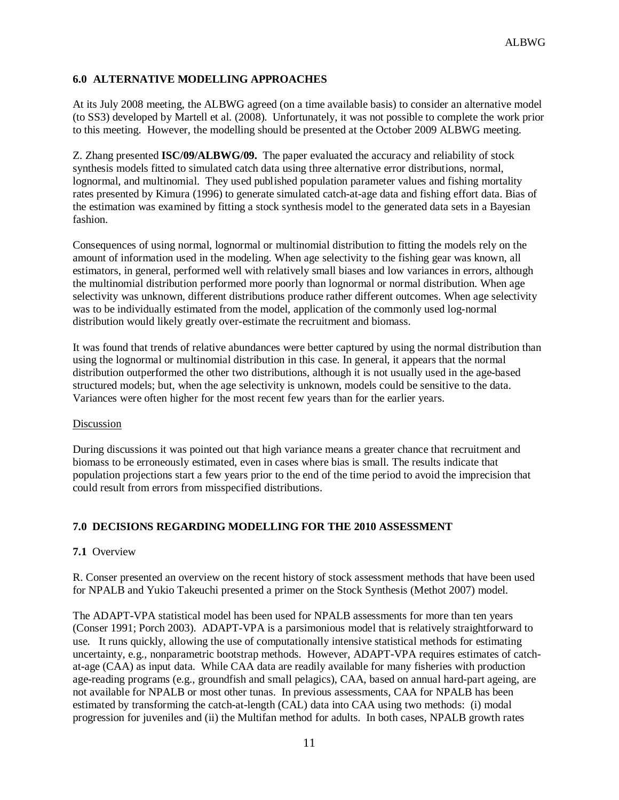### **6.0 ALTERNATIVE MODELLING APPROACHES**

At its July 2008 meeting, the ALBWG agreed (on a time available basis) to consider an alternative model (to SS3) developed by Martell et al. (2008). Unfortunately, it was not possible to complete the work prior to this meeting. However, the modelling should be presented at the October 2009 ALBWG meeting.

Z. Zhang presented **ISC/09/ALBWG/09.** The paper evaluated the accuracy and reliability of stock synthesis models fitted to simulated catch data using three alternative error distributions, normal, lognormal, and multinomial. They used published population parameter values and fishing mortality rates presented by Kimura (1996) to generate simulated catch-at-age data and fishing effort data. Bias of the estimation was examined by fitting a stock synthesis model to the generated data sets in a Bayesian fashion.

Consequences of using normal, lognormal or multinomial distribution to fitting the models rely on the amount of information used in the modeling. When age selectivity to the fishing gear was known, all estimators, in general, performed well with relatively small biases and low variances in errors, although the multinomial distribution performed more poorly than lognormal or normal distribution. When age selectivity was unknown, different distributions produce rather different outcomes. When age selectivity was to be individually estimated from the model, application of the commonly used log-normal distribution would likely greatly over-estimate the recruitment and biomass.

It was found that trends of relative abundances were better captured by using the normal distribution than using the lognormal or multinomial distribution in this case. In general, it appears that the normal distribution outperformed the other two distributions, although it is not usually used in the age-based structured models; but, when the age selectivity is unknown, models could be sensitive to the data. Variances were often higher for the most recent few years than for the earlier years.

#### Discussion

During discussions it was pointed out that high variance means a greater chance that recruitment and biomass to be erroneously estimated, even in cases where bias is small. The results indicate that population projections start a few years prior to the end of the time period to avoid the imprecision that could result from errors from misspecified distributions.

### **7.0 DECISIONS REGARDING MODELLING FOR THE 2010 ASSESSMENT**

#### **7.1** Overview

R. Conser presented an overview on the recent history of stock assessment methods that have been used for NPALB and Yukio Takeuchi presented a primer on the Stock Synthesis (Methot 2007) model.

The ADAPT-VPA statistical model has been used for NPALB assessments for more than ten years (Conser 1991; Porch 2003). ADAPT-VPA is a parsimonious model that is relatively straightforward to use. It runs quickly, allowing the use of computationally intensive statistical methods for estimating uncertainty, e.g., nonparametric bootstrap methods. However, ADAPT-VPA requires estimates of catchat-age (CAA) as input data. While CAA data are readily available for many fisheries with production age-reading programs (e.g., groundfish and small pelagics), CAA, based on annual hard-part ageing, are not available for NPALB or most other tunas. In previous assessments, CAA for NPALB has been estimated by transforming the catch-at-length (CAL) data into CAA using two methods: (i) modal progression for juveniles and (ii) the Multifan method for adults. In both cases, NPALB growth rates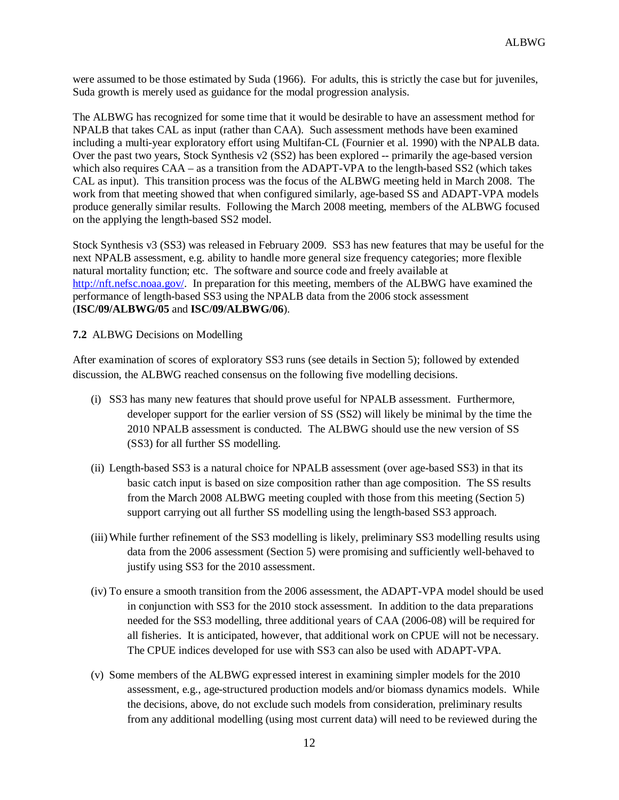were assumed to be those estimated by Suda (1966). For adults, this is strictly the case but for juveniles, Suda growth is merely used as guidance for the modal progression analysis.

The ALBWG has recognized for some time that it would be desirable to have an assessment method for NPALB that takes CAL as input (rather than CAA). Such assessment methods have been examined including a multi-year exploratory effort using Multifan-CL (Fournier et al. 1990) with the NPALB data. Over the past two years, Stock Synthesis v2 (SS2) has been explored -- primarily the age-based version which also requires CAA – as a transition from the ADAPT-VPA to the length-based SS2 (which takes CAL as input). This transition process was the focus of the ALBWG meeting held in March 2008. The work from that meeting showed that when configured similarly, age-based SS and ADAPT-VPA models produce generally similar results. Following the March 2008 meeting, members of the ALBWG focused on the applying the length-based SS2 model.

Stock Synthesis v3 (SS3) was released in February 2009. SS3 has new features that may be useful for the next NPALB assessment, e.g. ability to handle more general size frequency categories; more flexible natural mortality function; etc. The software and source code and freely available at [http://nft.nefsc.noaa.gov/.](http://nft.nefsc.noaa.gov/) In preparation for this meeting, members of the ALBWG have examined the performance of length-based SS3 using the NPALB data from the 2006 stock assessment (**ISC/09/ALBWG/05** and **ISC/09/ALBWG/06**).

#### **7.2** ALBWG Decisions on Modelling

After examination of scores of exploratory SS3 runs (see details in Section 5); followed by extended discussion, the ALBWG reached consensus on the following five modelling decisions.

- (i) SS3 has many new features that should prove useful for NPALB assessment. Furthermore, developer support for the earlier version of SS (SS2) will likely be minimal by the time the 2010 NPALB assessment is conducted. The ALBWG should use the new version of SS (SS3) for all further SS modelling.
- (ii) Length-based SS3 is a natural choice for NPALB assessment (over age-based SS3) in that its basic catch input is based on size composition rather than age composition. The SS results from the March 2008 ALBWG meeting coupled with those from this meeting (Section 5) support carrying out all further SS modelling using the length-based SS3 approach.
- (iii)While further refinement of the SS3 modelling is likely, preliminary SS3 modelling results using data from the 2006 assessment (Section 5) were promising and sufficiently well-behaved to justify using SS3 for the 2010 assessment.
- (iv) To ensure a smooth transition from the 2006 assessment, the ADAPT-VPA model should be used in conjunction with SS3 for the 2010 stock assessment. In addition to the data preparations needed for the SS3 modelling, three additional years of CAA (2006-08) will be required for all fisheries. It is anticipated, however, that additional work on CPUE will not be necessary. The CPUE indices developed for use with SS3 can also be used with ADAPT-VPA.
- (v) Some members of the ALBWG expressed interest in examining simpler models for the 2010 assessment, e.g., age-structured production models and/or biomass dynamics models. While the decisions, above, do not exclude such models from consideration, preliminary results from any additional modelling (using most current data) will need to be reviewed during the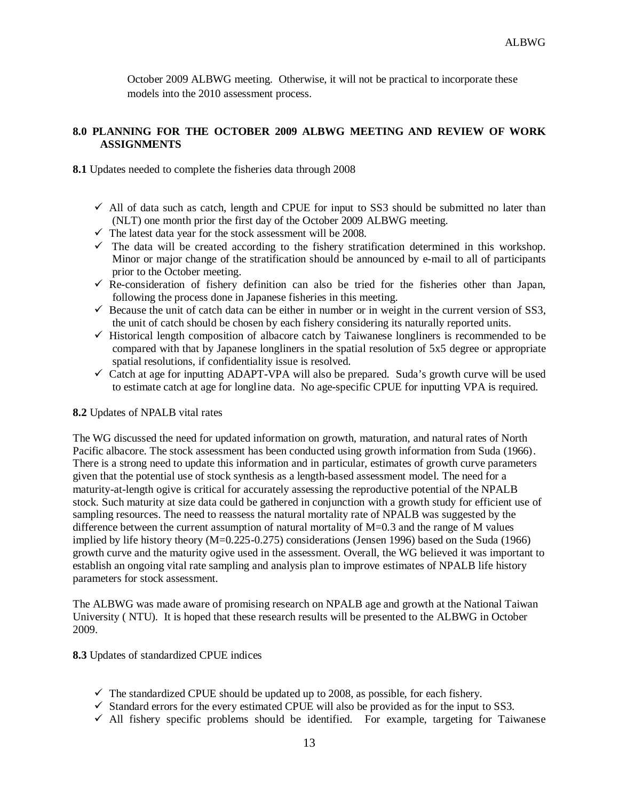October 2009 ALBWG meeting. Otherwise, it will not be practical to incorporate these models into the 2010 assessment process.

### **8.0 PLANNING FOR THE OCTOBER 2009 ALBWG MEETING AND REVIEW OF WORK ASSIGNMENTS**

**8.1** Updates needed to complete the fisheries data through 2008

- $\checkmark$  All of data such as catch, length and CPUE for input to SS3 should be submitted no later than (NLT) one month prior the first day of the October 2009 ALBWG meeting.
- $\checkmark$  The latest data year for the stock assessment will be 2008.
- $\checkmark$  The data will be created according to the fishery stratification determined in this workshop. Minor or major change of the stratification should be announced by e-mail to all of participants prior to the October meeting.
- $\checkmark$  Re-consideration of fishery definition can also be tried for the fisheries other than Japan, following the process done in Japanese fisheries in this meeting.
- $\checkmark$  Because the unit of catch data can be either in number or in weight in the current version of SS3, the unit of catch should be chosen by each fishery considering its naturally reported units.
- $\checkmark$  Historical length composition of albacore catch by Taiwanese longliners is recommended to be compared with that by Japanese longliners in the spatial resolution of 5x5 degree or appropriate spatial resolutions, if confidentiality issue is resolved.
- $\checkmark$  Catch at age for inputting ADAPT-VPA will also be prepared. Suda's growth curve will be used to estimate catch at age for longline data. No age-specific CPUE for inputting VPA is required.

### **8.2** Updates of NPALB vital rates

The WG discussed the need for updated information on growth, maturation, and natural rates of North Pacific albacore. The stock assessment has been conducted using growth information from Suda (1966). There is a strong need to update this information and in particular, estimates of growth curve parameters given that the potential use of stock synthesis as a length-based assessment model. The need for a maturity-at-length ogive is critical for accurately assessing the reproductive potential of the NPALB stock. Such maturity at size data could be gathered in conjunction with a growth study for efficient use of sampling resources. The need to reassess the natural mortality rate of NPALB was suggested by the difference between the current assumption of natural mortality of  $M=0.3$  and the range of M values implied by life history theory (M=0.225-0.275) considerations (Jensen 1996) based on the Suda (1966) growth curve and the maturity ogive used in the assessment. Overall, the WG believed it was important to establish an ongoing vital rate sampling and analysis plan to improve estimates of NPALB life history parameters for stock assessment.

The ALBWG was made aware of promising research on NPALB age and growth at the National Taiwan University ( NTU). It is hoped that these research results will be presented to the ALBWG in October 2009.

**8.3** Updates of standardized CPUE indices

- $\checkmark$  The standardized CPUE should be updated up to 2008, as possible, for each fishery.
- $\checkmark$  Standard errors for the every estimated CPUE will also be provided as for the input to SS3.
- $\checkmark$  All fishery specific problems should be identified. For example, targeting for Taiwanese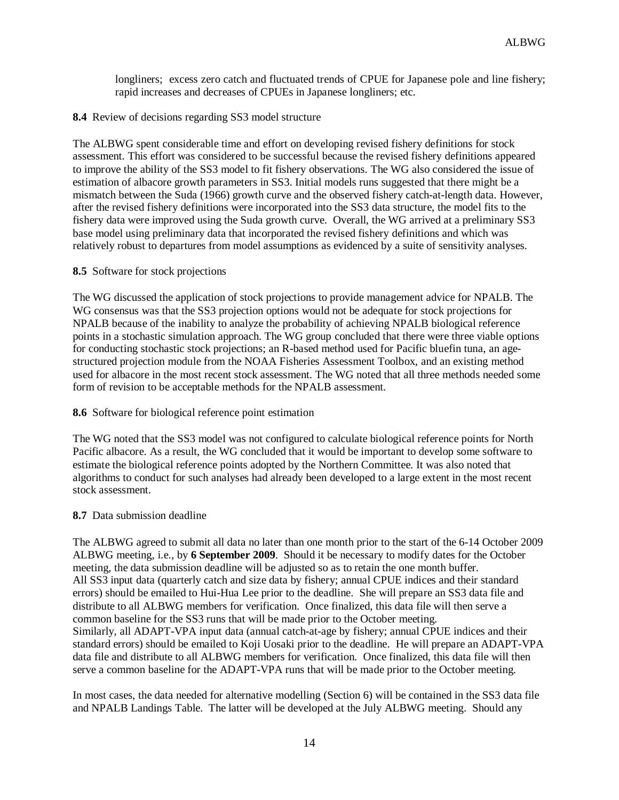longliners; excess zero catch and fluctuated trends of CPUE for Japanese pole and line fishery; rapid increases and decreases of CPUEs in Japanese longliners; etc.

### **8.4** Review of decisions regarding SS3 model structure

The ALBWG spent considerable time and effort on developing revised fishery definitions for stock assessment. This effort was considered to be successful because the revised fishery definitions appeared to improve the ability of the SS3 model to fit fishery observations. The WG also considered the issue of estimation of albacore growth parameters in SS3. Initial models runs suggested that there might be a mismatch between the Suda (1966) growth curve and the observed fishery catch-at-length data. However, after the revised fishery definitions were incorporated into the SS3 data structure, the model fits to the fishery data were improved using the Suda growth curve. Overall, the WG arrived at a preliminary SS3 base model using preliminary data that incorporated the revised fishery definitions and which was relatively robust to departures from model assumptions as evidenced by a suite of sensitivity analyses.

#### **8.5** Software for stock projections

The WG discussed the application of stock projections to provide management advice for NPALB. The WG consensus was that the SS3 projection options would not be adequate for stock projections for NPALB because of the inability to analyze the probability of achieving NPALB biological reference points in a stochastic simulation approach. The WG group concluded that there were three viable options for conducting stochastic stock projections; an R-based method used for Pacific bluefin tuna, an agestructured projection module from the NOAA Fisheries Assessment Toolbox, and an existing method used for albacore in the most recent stock assessment. The WG noted that all three methods needed some form of revision to be acceptable methods for the NPALB assessment.

#### **8.6** Software for biological reference point estimation

The WG noted that the SS3 model was not configured to calculate biological reference points for North Pacific albacore. As a result, the WG concluded that it would be important to develop some software to estimate the biological reference points adopted by the Northern Committee. It was also noted that algorithms to conduct for such analyses had already been developed to a large extent in the most recent stock assessment.

#### **8.7** Data submission deadline

The ALBWG agreed to submit all data no later than one month prior to the start of the 6-14 October 2009 ALBWG meeting, i.e., by **6 September 2009**. Should it be necessary to modify dates for the October meeting, the data submission deadline will be adjusted so as to retain the one month buffer. All SS3 input data (quarterly catch and size data by fishery; annual CPUE indices and their standard errors) should be emailed to Hui-Hua Lee prior to the deadline. She will prepare an SS3 data file and distribute to all ALBWG members for verification. Once finalized, this data file will then serve a common baseline for the SS3 runs that will be made prior to the October meeting. Similarly, all ADAPT-VPA input data (annual catch-at-age by fishery; annual CPUE indices and their standard errors) should be emailed to Koji Uosaki prior to the deadline. He will prepare an ADAPT-VPA data file and distribute to all ALBWG members for verification. Once finalized, this data file will then serve a common baseline for the ADAPT-VPA runs that will be made prior to the October meeting.

In most cases, the data needed for alternative modelling (Section 6) will be contained in the SS3 data file and NPALB Landings Table. The latter will be developed at the July ALBWG meeting. Should any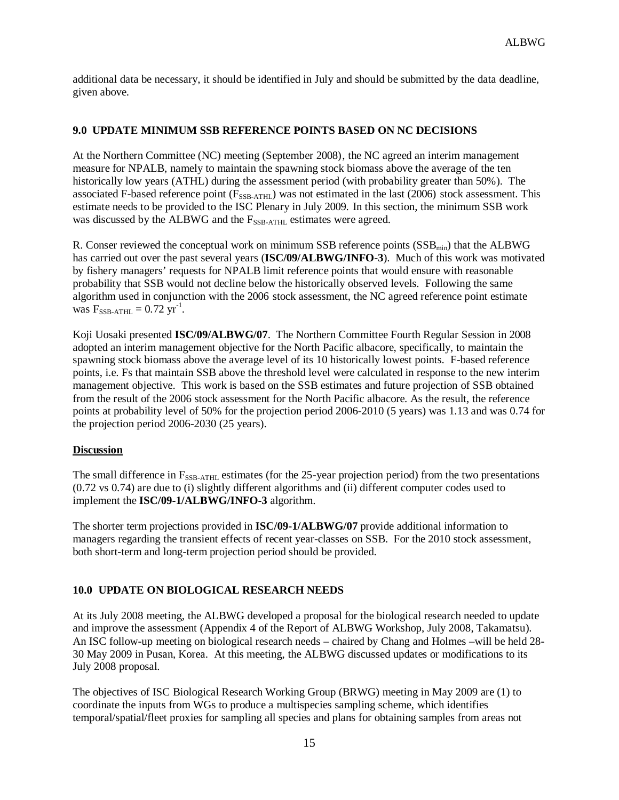additional data be necessary, it should be identified in July and should be submitted by the data deadline, given above.

### **9.0 UPDATE MINIMUM SSB REFERENCE POINTS BASED ON NC DECISIONS**

At the Northern Committee (NC) meeting (September 2008), the NC agreed an interim management measure for NPALB, namely to maintain the spawning stock biomass above the average of the ten historically low years (ATHL) during the assessment period (with probability greater than 50%). The associated F-based reference point (F<sub>SSB-ATHL</sub>) was not estimated in the last (2006) stock assessment. This estimate needs to be provided to the ISC Plenary in July 2009. In this section, the minimum SSB work was discussed by the ALBWG and the  $F_{SSB-ATHL}$  estimates were agreed.

R. Conser reviewed the conceptual work on minimum SSB reference points (SSB<sub>min</sub>) that the ALBWG has carried out over the past several years (**ISC/09/ALBWG/INFO-3**). Much of this work was motivated by fishery managers' requests for NPALB limit reference points that would ensure with reasonable probability that SSB would not decline below the historically observed levels. Following the same algorithm used in conjunction with the 2006 stock assessment, the NC agreed reference point estimate was  $F_{SSB-ATHL} = 0.72 \text{ yr}^{-1}$ .

Koji Uosaki presented **ISC/09/ALBWG/07**. The Northern Committee Fourth Regular Session in 2008 adopted an interim management objective for the North Pacific albacore, specifically, to maintain the spawning stock biomass above the average level of its 10 historically lowest points. F-based reference points, i.e. Fs that maintain SSB above the threshold level were calculated in response to the new interim management objective. This work is based on the SSB estimates and future projection of SSB obtained from the result of the 2006 stock assessment for the North Pacific albacore. As the result, the reference points at probability level of 50% for the projection period 2006-2010 (5 years) was 1.13 and was 0.74 for the projection period 2006-2030 (25 years).

### **Discussion**

The small difference in  $F_{SSB-ATHL}$  estimates (for the 25-year projection period) from the two presentations (0.72 vs 0.74) are due to (i) slightly different algorithms and (ii) different computer codes used to implement the **ISC/09-1/ALBWG/INFO-3** algorithm.

The shorter term projections provided in **ISC/09-1/ALBWG/07** provide additional information to managers regarding the transient effects of recent year-classes on SSB. For the 2010 stock assessment, both short-term and long-term projection period should be provided.

### **10.0 UPDATE ON BIOLOGICAL RESEARCH NEEDS**

At its July 2008 meeting, the ALBWG developed a proposal for the biological research needed to update and improve the assessment (Appendix 4 of the Report of ALBWG Workshop, July 2008, Takamatsu). An ISC follow-up meeting on biological research needs – chaired by Chang and Holmes –will be held 28- 30 May 2009 in Pusan, Korea. At this meeting, the ALBWG discussed updates or modifications to its July 2008 proposal.

The objectives of ISC Biological Research Working Group (BRWG) meeting in May 2009 are (1) to coordinate the inputs from WGs to produce a multispecies sampling scheme, which identifies temporal/spatial/fleet proxies for sampling all species and plans for obtaining samples from areas not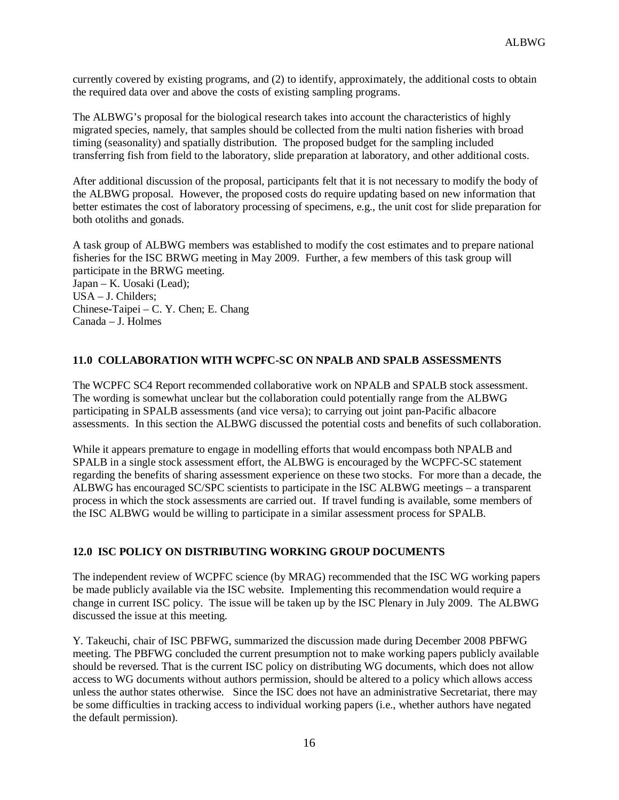currently covered by existing programs, and (2) to identify, approximately, the additional costs to obtain the required data over and above the costs of existing sampling programs.

The ALBWG's proposal for the biological research takes into account the characteristics of highly migrated species, namely, that samples should be collected from the multi nation fisheries with broad timing (seasonality) and spatially distribution. The proposed budget for the sampling included transferring fish from field to the laboratory, slide preparation at laboratory, and other additional costs.

After additional discussion of the proposal, participants felt that it is not necessary to modify the body of the ALBWG proposal. However, the proposed costs do require updating based on new information that better estimates the cost of laboratory processing of specimens, e.g., the unit cost for slide preparation for both otoliths and gonads.

A task group of ALBWG members was established to modify the cost estimates and to prepare national fisheries for the ISC BRWG meeting in May 2009. Further, a few members of this task group will participate in the BRWG meeting. Japan – K. Uosaki (Lead); USA – J. Childers; Chinese-Taipei – C. Y. Chen; E. Chang

Canada – J. Holmes

### **11.0 COLLABORATION WITH WCPFC-SC ON NPALB AND SPALB ASSESSMENTS**

The WCPFC SC4 Report recommended collaborative work on NPALB and SPALB stock assessment. The wording is somewhat unclear but the collaboration could potentially range from the ALBWG participating in SPALB assessments (and vice versa); to carrying out joint pan-Pacific albacore assessments. In this section the ALBWG discussed the potential costs and benefits of such collaboration.

While it appears premature to engage in modelling efforts that would encompass both NPALB and SPALB in a single stock assessment effort, the ALBWG is encouraged by the WCPFC-SC statement regarding the benefits of sharing assessment experience on these two stocks. For more than a decade, the ALBWG has encouraged SC/SPC scientists to participate in the ISC ALBWG meetings – a transparent process in which the stock assessments are carried out. If travel funding is available, some members of the ISC ALBWG would be willing to participate in a similar assessment process for SPALB.

#### **12.0 ISC POLICY ON DISTRIBUTING WORKING GROUP DOCUMENTS**

The independent review of WCPFC science (by MRAG) recommended that the ISC WG working papers be made publicly available via the ISC website. Implementing this recommendation would require a change in current ISC policy. The issue will be taken up by the ISC Plenary in July 2009. The ALBWG discussed the issue at this meeting.

Y. Takeuchi, chair of ISC PBFWG, summarized the discussion made during December 2008 PBFWG meeting. The PBFWG concluded the current presumption not to make working papers publicly available should be reversed. That is the current ISC policy on distributing WG documents, which does not allow access to WG documents without authors permission, should be altered to a policy which allows access unless the author states otherwise. Since the ISC does not have an administrative Secretariat, there may be some difficulties in tracking access to individual working papers (i.e., whether authors have negated the default permission).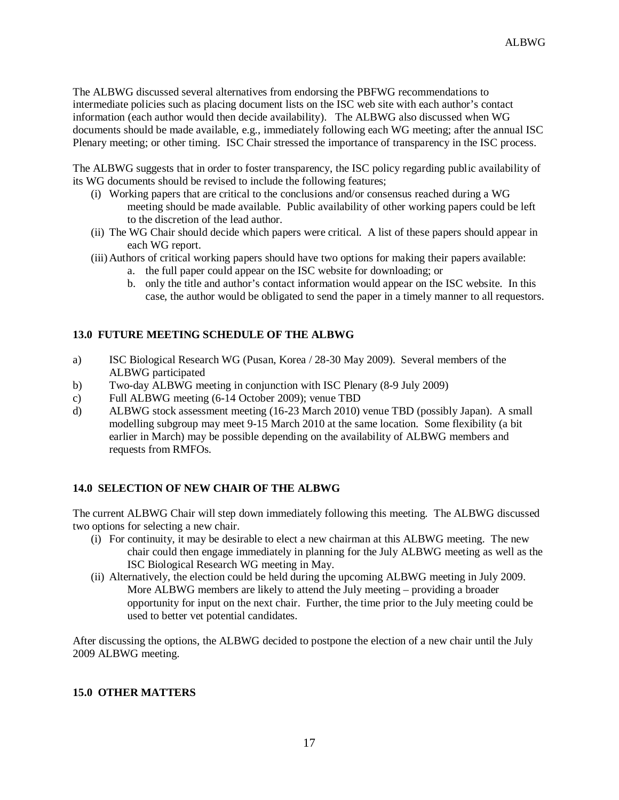The ALBWG discussed several alternatives from endorsing the PBFWG recommendations to intermediate policies such as placing document lists on the ISC web site with each author's contact information (each author would then decide availability). The ALBWG also discussed when WG documents should be made available, e.g., immediately following each WG meeting; after the annual ISC Plenary meeting; or other timing. ISC Chair stressed the importance of transparency in the ISC process.

The ALBWG suggests that in order to foster transparency, the ISC policy regarding public availability of its WG documents should be revised to include the following features;

- (i) Working papers that are critical to the conclusions and/or consensus reached during a WG meeting should be made available. Public availability of other working papers could be left to the discretion of the lead author.
- (ii) The WG Chair should decide which papers were critical. A list of these papers should appear in each WG report.
- (iii)Authors of critical working papers should have two options for making their papers available:
	- a. the full paper could appear on the ISC website for downloading; or
	- b. only the title and author's contact information would appear on the ISC website. In this case, the author would be obligated to send the paper in a timely manner to all requestors.

### **13.0 FUTURE MEETING SCHEDULE OF THE ALBWG**

- a) ISC Biological Research WG (Pusan, Korea / 28-30 May 2009). Several members of the ALBWG participated
- b) Two-day ALBWG meeting in conjunction with ISC Plenary (8-9 July 2009)
- c) Full ALBWG meeting (6-14 October 2009); venue TBD
- d) ALBWG stock assessment meeting (16-23 March 2010) venue TBD (possibly Japan). A small modelling subgroup may meet 9-15 March 2010 at the same location. Some flexibility (a bit earlier in March) may be possible depending on the availability of ALBWG members and requests from RMFOs.

### **14.0 SELECTION OF NEW CHAIR OF THE ALBWG**

The current ALBWG Chair will step down immediately following this meeting. The ALBWG discussed two options for selecting a new chair.

- (i) For continuity, it may be desirable to elect a new chairman at this ALBWG meeting. The new chair could then engage immediately in planning for the July ALBWG meeting as well as the ISC Biological Research WG meeting in May.
- (ii) Alternatively, the election could be held during the upcoming ALBWG meeting in July 2009. More ALBWG members are likely to attend the July meeting – providing a broader opportunity for input on the next chair. Further, the time prior to the July meeting could be used to better vet potential candidates.

After discussing the options, the ALBWG decided to postpone the election of a new chair until the July 2009 ALBWG meeting.

### **15.0 OTHER MATTERS**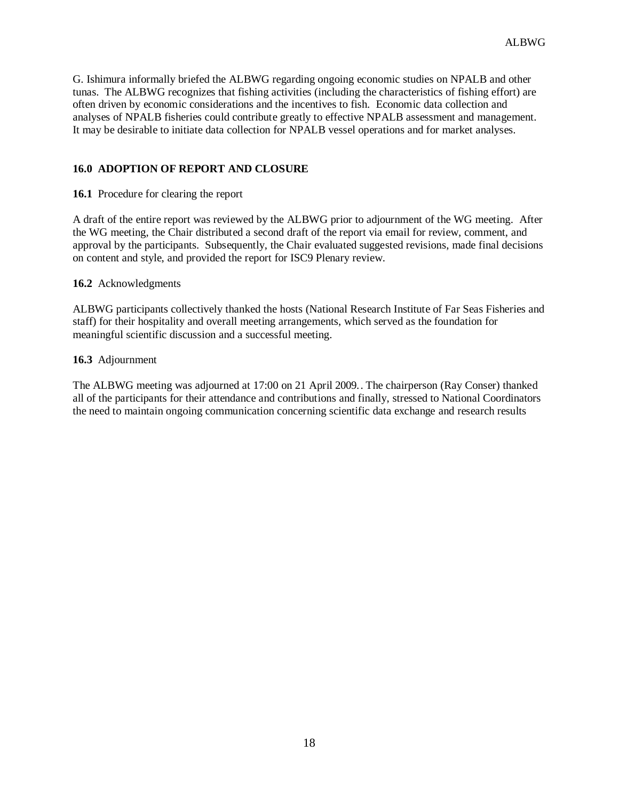G. Ishimura informally briefed the ALBWG regarding ongoing economic studies on NPALB and other tunas. The ALBWG recognizes that fishing activities (including the characteristics of fishing effort) are often driven by economic considerations and the incentives to fish. Economic data collection and analyses of NPALB fisheries could contribute greatly to effective NPALB assessment and management. It may be desirable to initiate data collection for NPALB vessel operations and for market analyses.

### **16.0 ADOPTION OF REPORT AND CLOSURE**

**16.1** Procedure for clearing the report

A draft of the entire report was reviewed by the ALBWG prior to adjournment of the WG meeting. After the WG meeting, the Chair distributed a second draft of the report via email for review, comment, and approval by the participants. Subsequently, the Chair evaluated suggested revisions, made final decisions on content and style, and provided the report for ISC9 Plenary review.

#### **16.2** Acknowledgments

ALBWG participants collectively thanked the hosts (National Research Institute of Far Seas Fisheries and staff) for their hospitality and overall meeting arrangements, which served as the foundation for meaningful scientific discussion and a successful meeting.

#### **16.3** Adjournment

The ALBWG meeting was adjourned at 17:00 on 21 April 2009.. The chairperson (Ray Conser) thanked all of the participants for their attendance and contributions and finally, stressed to National Coordinators the need to maintain ongoing communication concerning scientific data exchange and research results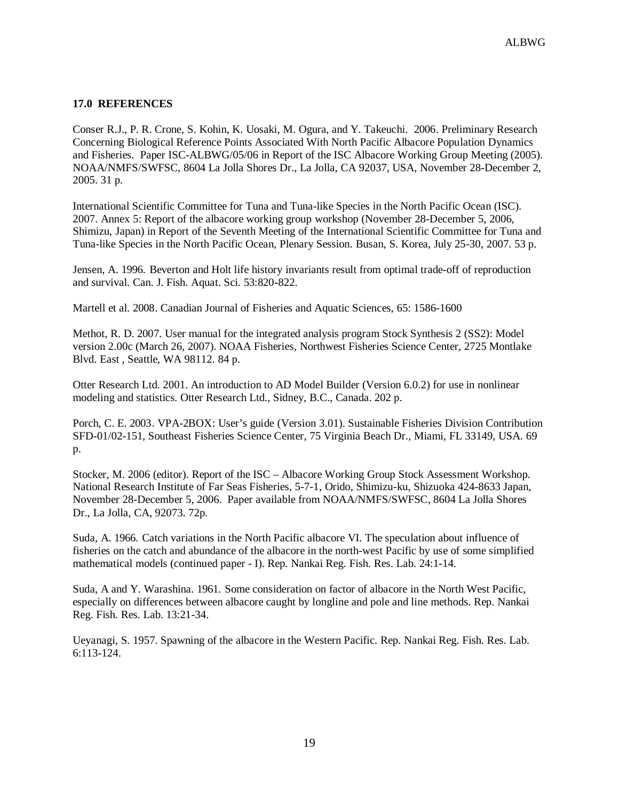### **17.0 REFERENCES**

Conser R.J., P. R. Crone, S. Kohin, K. Uosaki, M. Ogura, and Y. Takeuchi. 2006. Preliminary Research Concerning Biological Reference Points Associated With North Pacific Albacore Population Dynamics and Fisheries. Paper ISC-ALBWG/05/06 in Report of the ISC Albacore Working Group Meeting (2005). NOAA/NMFS/SWFSC, 8604 La Jolla Shores Dr., La Jolla, CA 92037, USA, November 28-December 2, 2005. 31 p.

International Scientific Committee for Tuna and Tuna-like Species in the North Pacific Ocean (ISC). 2007. Annex 5: Report of the albacore working group workshop (November 28-December 5, 2006, Shimizu, Japan) in Report of the Seventh Meeting of the International Scientific Committee for Tuna and Tuna-like Species in the North Pacific Ocean, Plenary Session. Busan, S. Korea, July 25-30, 2007. 53 p.

Jensen, A. 1996. Beverton and Holt life history invariants result from optimal trade-off of reproduction and survival. Can. J. Fish. Aquat. Sci. 53:820-822.

Martell et al. 2008. Canadian Journal of Fisheries and Aquatic Sciences, 65: 1586-1600

Methot, R. D. 2007. User manual for the integrated analysis program Stock Synthesis 2 (SS2): Model version 2.00c (March 26, 2007). NOAA Fisheries, Northwest Fisheries Science Center, 2725 Montlake Blvd. East , Seattle, WA 98112. 84 p.

Otter Research Ltd. 2001. An introduction to AD Model Builder (Version 6.0.2) for use in nonlinear modeling and statistics. Otter Research Ltd., Sidney, B.C., Canada. 202 p.

Porch, C. E. 2003. VPA-2BOX: User's guide (Version 3.01). Sustainable Fisheries Division Contribution SFD-01/02-151, Southeast Fisheries Science Center, 75 Virginia Beach Dr., Miami, FL 33149, USA. 69 p.

Stocker, M. 2006 (editor). Report of the ISC – Albacore Working Group Stock Assessment Workshop. National Research Institute of Far Seas Fisheries, 5-7-1, Orido, Shimizu-ku, Shizuoka 424-8633 Japan, November 28-December 5, 2006. Paper available from NOAA/NMFS/SWFSC, 8604 La Jolla Shores Dr., La Jolla, CA, 92073. 72p.

Suda, A. 1966. Catch variations in the North Pacific albacore VI. The speculation about influence of fisheries on the catch and abundance of the albacore in the north-west Pacific by use of some simplified mathematical models (continued paper - I). Rep. Nankai Reg. Fish. Res. Lab. 24:1-14.

Suda, A and Y. Warashina. 1961. Some consideration on factor of albacore in the North West Pacific, especially on differences between albacore caught by longline and pole and line methods. Rep. Nankai Reg. Fish. Res. Lab. 13:21-34.

Ueyanagi, S. 1957. Spawning of the albacore in the Western Pacific. Rep. Nankai Reg. Fish. Res. Lab. 6:113-124.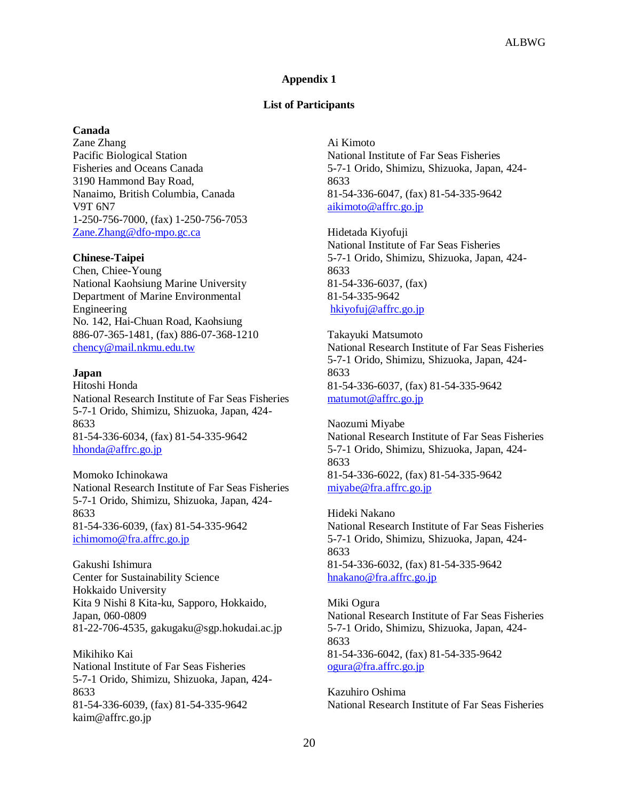### **Appendix 1**

#### **List of Participants**

#### **Canada**

Zane Zhang Pacific Biological Station Fisheries and Oceans Canada 3190 Hammond Bay Road, Nanaimo, British Columbia, Canada V9T 6N7 1-250-756-7000, (fax) 1-250-756-7053 [Zane.Zhang@dfo-mpo.gc.ca](mailto:Zane.Zhang@dfo-mpo.gc.ca)

#### **Chinese-Taipei**

Chen, Chiee-Young National Kaohsiung Marine University Department of Marine Environmental Engineering No. 142, Hai-Chuan Road, Kaohsiung 886-07-365-1481, (fax) 886-07-368-1210 [chency@mail.nkmu.edu.tw](mailto:chency@mail.nkmu.edu.tw)

### **Japan**

Hitoshi Honda National Research Institute of Far Seas Fisheries 5-7-1 Orido, Shimizu, Shizuoka, Japan, 424- 8633 81-54-336-6034, (fax) 81-54-335-9642 hhonda@affrc.go.jp

Momoko Ichinokawa National Research Institute of Far Seas Fisheries 5-7-1 Orido, Shimizu, Shizuoka, Japan, 424- 8633 81-54-336-6039, (fax) 81-54-335-9642 ichimomo@fra.affrc.go.jp

Gakushi Ishimura Center for Sustainability Science Hokkaido University Kita 9 Nishi 8 Kita-ku, Sapporo, Hokkaido, Japan, 060-0809 81-22-706-4535, gakugaku@sgp.hokudai.ac.jp

Mikihiko Kai National Institute of Far Seas Fisheries 5-7-1 Orido, Shimizu, Shizuoka, Japan, 424- 8633 81-54-336-6039, (fax) 81-54-335-9642 kaim@affrc.go.jp

Ai Kimoto National Institute of Far Seas Fisheries 5-7-1 Orido, Shimizu, Shizuoka, Japan, 424- 8633 81-54-336-6047, (fax) 81-54-335-9642 aikimoto@affrc.go.jp

Hidetada Kiyofuji National Institute of Far Seas Fisheries 5-7-1 Orido, Shimizu, Shizuoka, Japan, 424- 8633 81-54-336-6037, (fax) 81-54-335-9642 hkiyofuj@affrc.go.jp

Takayuki Matsumoto National Research Institute of Far Seas Fisheries 5-7-1 Orido, Shimizu, Shizuoka, Japan, 424- 8633 81-54-336-6037, (fax) 81-54-335-9642 matumot@affrc.go.jp

Naozumi Miyabe National Research Institute of Far Seas Fisheries 5-7-1 Orido, Shimizu, Shizuoka, Japan, 424- 8633 81-54-336-6022, (fax) 81-54-335-9642 miyabe@fra.affrc.go.jp

Hideki Nakano National Research Institute of Far Seas Fisheries 5-7-1 Orido, Shimizu, Shizuoka, Japan, 424- 8633 81-54-336-6032, (fax) 81-54-335-9642 hnakano@fra.affrc.go.jp

Miki Ogura National Research Institute of Far Seas Fisheries 5-7-1 Orido, Shimizu, Shizuoka, Japan, 424- 8633 81-54-336-6042, (fax) 81-54-335-9642 ogura@fra.affrc.go.jp

Kazuhiro Oshima National Research Institute of Far Seas Fisheries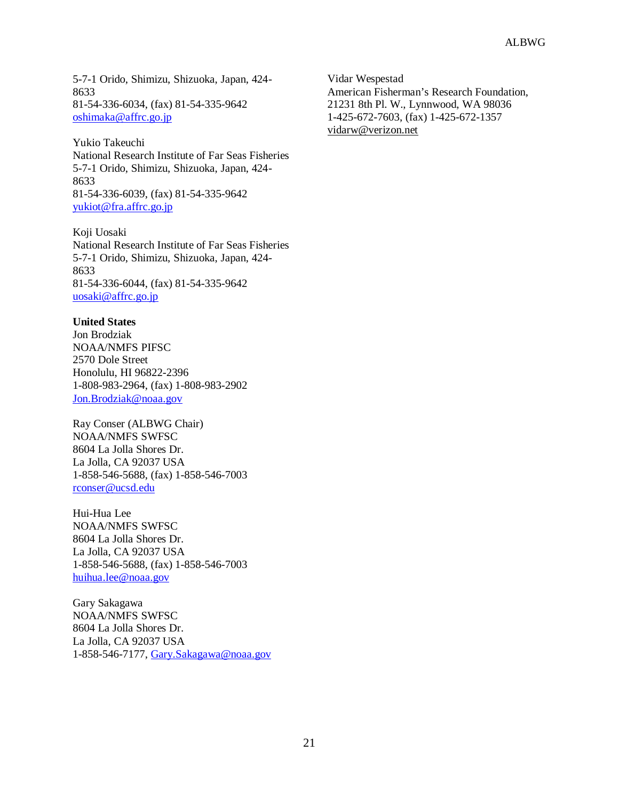5-7-1 Orido, Shimizu, Shizuoka, Japan, 424- 8633 81-54-336-6034, (fax) 81-54-335-9642 oshimaka@affrc.go.jp

Yukio Takeuchi National Research Institute of Far Seas Fisheries 5-7-1 Orido, Shimizu, Shizuoka, Japan, 424- 8633 81-54-336-6039, (fax) 81-54-335-9642 yukiot@fra.affrc.go.jp

Koji Uosaki National Research Institute of Far Seas Fisheries 5-7-1 Orido, Shimizu, Shizuoka, Japan, 424- 8633 81-54-336-6044, (fax) 81-54-335-9642 uosaki@affrc.go.jp

### **United States**

Jon Brodziak NOAA/NMFS PIFSC 2570 Dole Street Honolulu, HI 96822-2396 1-808-983-2964, (fax) 1-808-983-2902 [Jon.Brodziak@noaa.gov](mailto:Jon.Brodziak@noaa.gov)

Ray Conser (ALBWG Chair) NOAA/NMFS SWFSC 8604 La Jolla Shores Dr. La Jolla, CA 92037 USA 1-858-546-5688, (fax) 1-858-546-7003 rconser@ucsd.edu

Hui-Hua Lee NOAA/NMFS SWFSC 8604 La Jolla Shores Dr. La Jolla, CA 92037 USA 1-858-546-5688, (fax) 1-858-546-7003 huihua.lee@noaa.gov

Gary Sakagawa NOAA/NMFS SWFSC 8604 La Jolla Shores Dr. La Jolla, CA 92037 USA 1-858-546-7177, [Gary.Sakagawa@noaa.gov](mailto:Gary.Sakagawa@noaa.gov)

Vidar Wespestad American Fisherman's Research Foundation, 21231 8th Pl. W., Lynnwood, WA 98036 1-425-672-7603, (fax) 1-425-672-1357 vidarw@verizon.net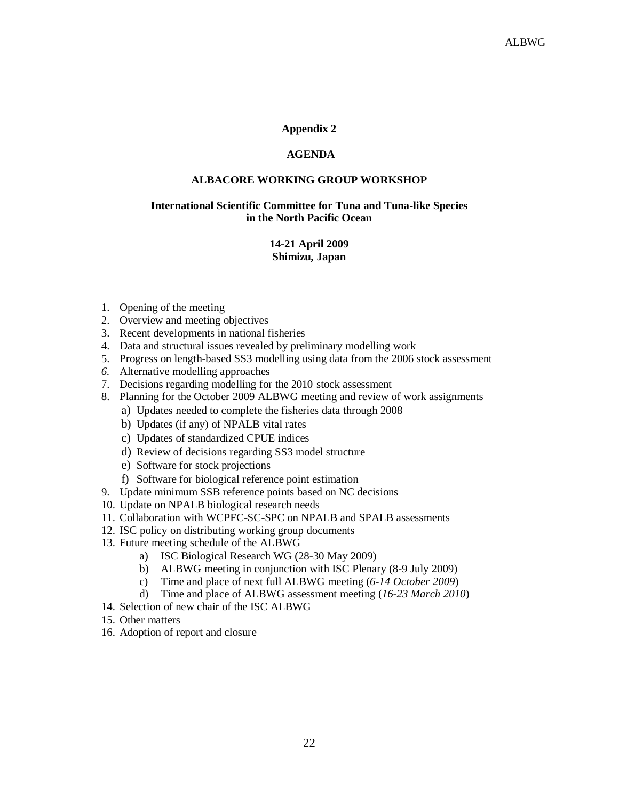### **Appendix 2**

### **AGENDA**

#### **ALBACORE WORKING GROUP WORKSHOP**

### **International Scientific Committee for Tuna and Tuna-like Species in the North Pacific Ocean**

### **14-21 April 2009 Shimizu, Japan**

- 1. Opening of the meeting
- 2. Overview and meeting objectives
- 3. Recent developments in national fisheries
- 4. Data and structural issues revealed by preliminary modelling work
- 5. Progress on length-based SS3 modelling using data from the 2006 stock assessment
- *6.* Alternative modelling approaches
- 7. Decisions regarding modelling for the 2010 stock assessment
- 8. Planning for the October 2009 ALBWG meeting and review of work assignments
	- a) Updates needed to complete the fisheries data through 2008
	- b) Updates (if any) of NPALB vital rates
	- c) Updates of standardized CPUE indices
	- d) Review of decisions regarding SS3 model structure
	- e) Software for stock projections
	- f) Software for biological reference point estimation
- 9. Update minimum SSB reference points based on NC decisions
- 10. Update on NPALB biological research needs
- 11. Collaboration with WCPFC-SC-SPC on NPALB and SPALB assessments
- 12. ISC policy on distributing working group documents
- 13. Future meeting schedule of the ALBWG
	- a) ISC Biological Research WG (28-30 May 2009)
	- b) ALBWG meeting in conjunction with ISC Plenary (8-9 July 2009)
	- c) Time and place of next full ALBWG meeting (*6-14 October 2009*)
	- d) Time and place of ALBWG assessment meeting (*16-23 March 2010*)
- 14. Selection of new chair of the ISC ALBWG
- 15. Other matters
- 16. Adoption of report and closure